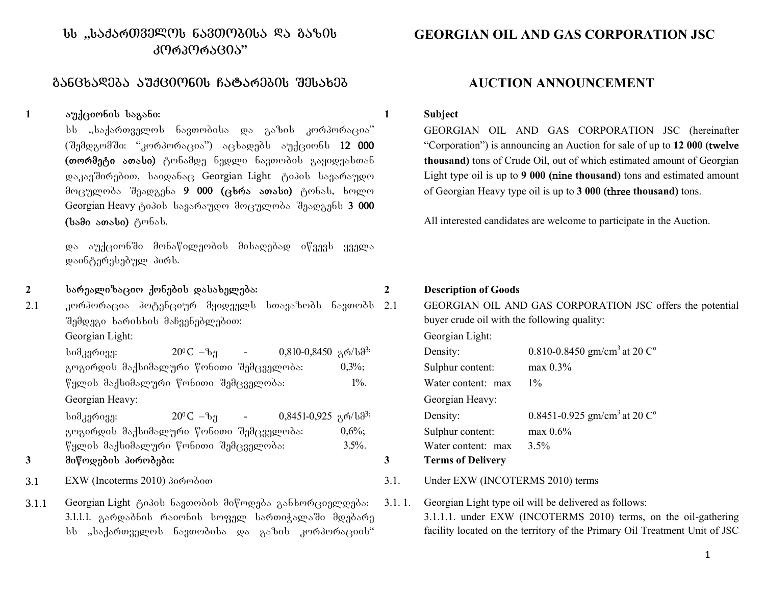# $b$  ,, $b$ აქარ $0$ ველო $b$  ნავთოპი $b$ ა ��ა გაზი $b$ ᲙᲝᲠᲞᲝᲠᲐᲪᲘᲐ"

# gancxadeba auqcionis Catarebis Sesaxeb **AUCTION ANNOUNCEMENT**

## **<sup>1</sup>**auqcionis sagani:

სს "საქართველოს ნავთობისა და გაზის კორპორაცია"  $(3,3)$ დგომში: "კორპორაცია") აცხადებს აუქციონს 12 000 (თორმეტი ათასი) ტონამდე ნედლი ნავთობის გაყიდვასთან დაკავშირებით, საიდანაც Georgian Light ტიპის სავარაუდო მოცულობა შეადგენა 9 000 (ცხრა ათასი) ტონას, ხოლო Georgian Heavy ტიპის სავარაუდო მოცულობა შეადგენს 3 000 (bsdo sosbo) gobsb.

და აუქციონში მონაწილეობის მისაღებად იწვევს ყველა დაინტერესებულ პირს.

2 bარეალიზაციო ქონების დასახელება:

2.1 კორპორაცია პოტენციურ მყიდველს სთავაზობს ნავთობს შემდეგი ხარისხის მაჩვენებლებით: Georgian Light: Georgian Light:

 $\frac{1}{20^6 C - b_1}$  - 0,810-0,8450  $\frac{1}{20^3}$ ; გოგირდის მაქსიმალური წონითი შემცველობა:  $0,3\%;$  $\nabla$ ყლის მაქსიმალური  $\nabla$ ონითი შემცველობა: 1%. Georgian Heavy:

 $\frac{1}{200}$ C – $\frac{1}{200}$  - 0,8451-0,925  $\frac{1}{20}$ /b $\frac{1}{3}$ ; გოგირდის მაქსიმალური წონითი შემცველობა:  $0.6\%$ ;  $\%$ ყლის მაქსიმალური წონითი შემცველობა: 3.5%.

## **<sup>3</sup>**miwodebis pirobebi: **3 Terms of Delivery**

- 
- 3.1.1 Georgian Light ტიპის ნავთობის მიწოდება განხორციელდება: 3.1.1.1. გარდაბნის რაიონის სოფელ სართიჭალაში მდებარე  $bb$  "საქართველოს ნავთობისა და გაზის კორპორაციის"

# **GEORGIAN OIL AND GAS CORPORATION JSC**

#### **1 Subject**

GEORGIAN OIL AND GAS CORPORATION JSC (hereinafter "Corporation") is announcing an Auction for sale of up to **12 000 (**twelve **thousand)** tons of Crude Oil, out of which estimated amount of Georgian Light type oil is up to **9 000 (**nine **thousand)** tons and estimated amount of Georgian Heavy type oil is up to **3 000 (**three **thousand)** tons.

All interested candidates are welcome to participate in the Auction.

#### **2 Description of Goods**

2.1 GEORGIAN OIL AND GAS CORPORATION JSC offers the potential buyer crude oil with the following quality:

| Density:           | 0.810-0.8450 gm/cm <sup>3</sup> at 20 $C^{\circ}$          |
|--------------------|------------------------------------------------------------|
| Sulphur content:   | $max\ 0.3\%$                                               |
| Water content: max | $1\%$                                                      |
| Georgian Heavy:    |                                                            |
| Density:           | 0.8451-0.925 gm/cm <sup>3</sup> at 20 $\mathrm{C}^{\circ}$ |
| Sulphur content:   | $max\ 0.6\%$                                               |
| Water content: max | $3.5\%$                                                    |
| Terms of Delivery  |                                                            |

#### 3.1 EXW (Incoterms 2010) δο πρόσο του διαθέτερηση του διαθέτερηση 3.1. Under EXW (INCOTERMS 2010) terms

3.1. 1. Georgian Light type oil will be delivered as follows: 3.1.1.1. under EXW (INCOTERMS 2010) terms, on the oil-gathering facility located on the territory of the Primary Oil Treatment Unit of JSC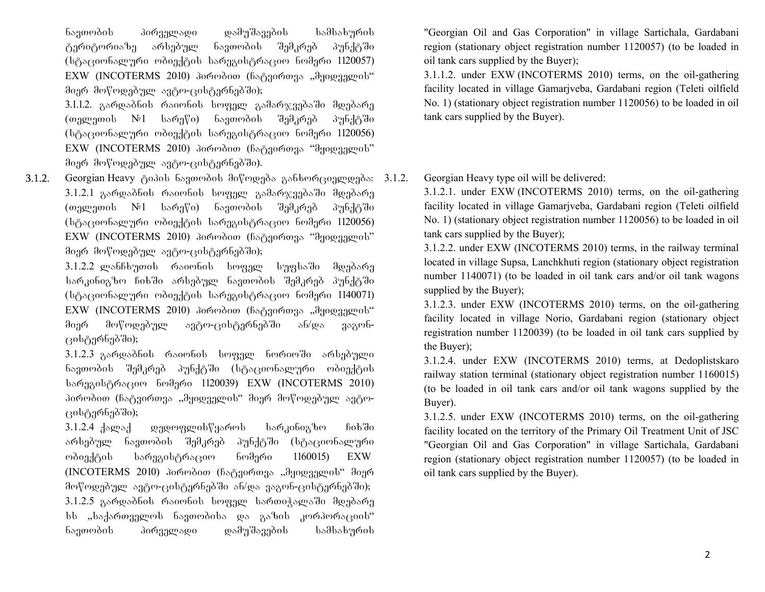ნავთობის პირველადი დამუშავების სამსახურის ტერიტორიაზე არსებულ ნავთობის შემკრებ პუნქტში (სტაციონალური ობიექტის სარეგისტრაციო ნომერი 1120057)  $EXW$  (INCOTERMS 2010) პირობით (ჩატვირთვა "მყიდველის" მიერ მოწოდებულ ავტო-ცისტერნებში);

3.1.1.2. გარდაბნის რაიონის სოფელ გამარჯვებაში მდებარე  $(\omega_1, \omega_2)$  (თელეთის  $N_{1}$  სარეწი) ნავთობის შემკრებ პუნქტში (სტაციონალური ობიექტის სარეგისტრაციო ნომერი 1120056)  $EXW$  (INCOTERMS 2010)  $\delta$ oრობით (ჩატვირთვა "მყიდველის" მიერ მოწოდებულ ავტო-ცისტერნებში).

3.1.2. Georgian Heavy Aodob bagomool dovmgada asboomganggada: 3.1.2. 3.1.2.1 გარდაბნის რაიონის სოფელ გამარჯვებაში მდებარე (თელეთის №1 სარეწი) ნავთობის შემკრებ პუნქტში  $(b\beta)$ აციონალური ობიექტის სარეგისტრაციო ნომერი 1120056) EXW (INCOTERMS 2010) პირობით (ჩატვირთვა "მყიდველის" მიერ მოწოდებულ ავტო-ცისტერნებში);

> 3.1.2.2 ლანჩხუთის რაიონის სოფელ სუფსაში მდებარე სარკინიგზო ჩიხში არსებულ ნავთობის შემკრებ პუნქტში (სტაციონალური ობიექტის სარეგისტრაციო ნომერი 1140071) EXW (INCOTERMS 2010) პირობით (ჩატვირთვა "მყიდველის" მიერ მოწოდებულ ავტო-ცისტერნებში ან/და ვაგონცისტერნებში);

> 3.1.2.3 გარდაბნის რაიონის სოფელ ნორიოში არსებული ნავთობის შემკრებ პუნქტში (სტაციონალური ობიექტის სარეგისტრაციო ნომერი 1120039) EXW (INCOTERMS 2010) პირობით (ჩატვირთვა "მყიდველის" მიერ მოწოდებულ ავტოცისტერნებში);

> 3.1.2.4დედოფლისწყაროს სარკინიგზო ჩიხში არსებულ ნავთობის შემკრებ პუნქტში (სტაციონალური ობიექტის სარეგისტრაციო ნომერი  $1160015$ ) EXW (INCOTERMS 2010) პირობით (ჩატვირთვა "მყიდველის" მიერ მოწოდებულ ავტო-ცისტერნებში ან/და ვაგონ-ცისტერნებში); 3.1.2.5 გარდაბნის რაიონის სოფელ სართიჭალაში მდებარე  $bb$  "საქართველოს ნავთობისა და გაზის კორპორაციის" ნავთობის პირველადი დამუშავების სამსახურის

"Georgian Oil and Gas Corporation" in village Sartichala, Gardabani region (stationary object registration number 1120057) (to be loaded in oil tank cars supplied by the Buyer);

3.1.1.2. under EXW (INCOTERMS 2010) terms, on the oil-gathering facility located in village Gamarjveba, Gardabani region (Teleti oilfield No. 1) (stationary object registration number 1120056) to be loaded in oil tank cars supplied by the Buyer).

Georgian Heavy type oil will be delivered:

3.1.2.1. under EXW (INCOTERMS 2010) terms, on the oil-gathering facility located in village Gamarjveba, Gardabani region (Teleti oilfield No. 1) (stationary object registration number 1120056) to be loaded in oil tank cars supplied by the Buyer);

3.1.2.2. under EXW (INCOTERMS 2010) terms, in the railway terminal located in village Supsa, Lanchkhuti region (stationary object registration number 1140071) (to be loaded in oil tank cars and/or oil tank wagons supplied by the Buyer);

3.1.2.3. under EXW (INCOTERMS 2010) terms, on the oil-gathering facility located in village Norio, Gardabani region (stationary object registration number 1120039) (to be loaded in oil tank cars supplied by the Buyer);

3.1.2.4. under EXW (INCOTERMS 2010) terms, at Dedoplistskaro railway station terminal (stationary object registration number 1160015) (to be loaded in oil tank cars and/or oil tank wagons supplied by the Buyer).

3.1.2.5. under EXW (INCOTERMS 2010) terms, on the oil-gathering facility located on the territory of the Primary Oil Treatment Unit of JSC "Georgian Oil and Gas Corporation" in village Sartichala, Gardabani region (stationary object registration number 1120057) (to be loaded in oil tank cars supplied by the Buyer).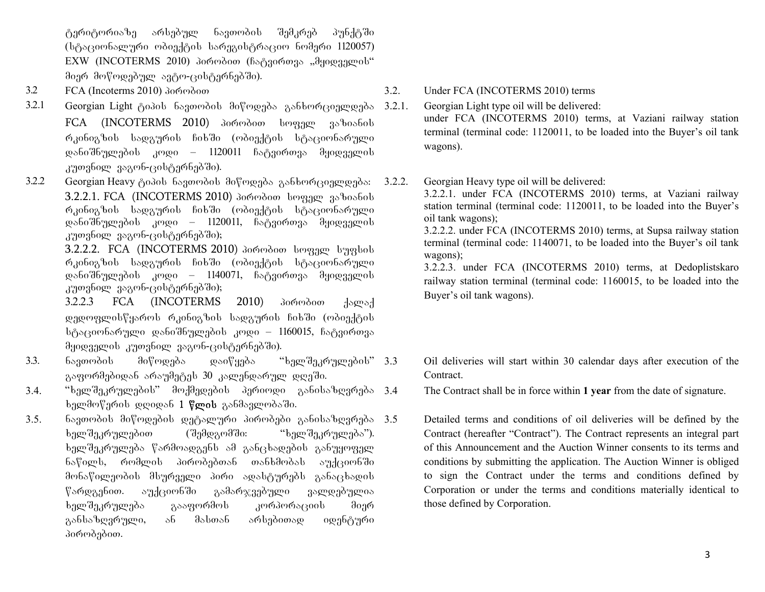ტერიტორიაზე არსებულ ნავთობის შემკრებ პუნქტში (სტაციონალური ობიექტის სარეგისტრაციო ნომერი 1120057)  $EXW$  (INCOTERMS 2010) პირობით (ჩატვირთვა "მყიდველის" მიერ მოწოდებულ ავტო-ცისტერნებში).

- 
- 3.2.1 Georgian Light ტიპის ნავთობის მიწოდება განხორციელდება FCA (INCOTERMS 2010) domodoo boggge geboofob რკინიგზის სადგურის ჩიხში (ობიექტის სტაციონარული დანიშნულების კოდი – 1120011 ჩატვირთვა მყიდველის კუთვნილ ვაგონ-ცისტერნებში).
- 3.2.2 Georgian Heavy ტიპის ნავთობის მიწოდება განხორციელდება: 3.2.2.1. FCA (INCOTERMS 2010) domodoo beggge geboofob რკინიგზის სადგურის ჩიხში (ობიექტის სტაციონარული დანიშნულების კოდი – 1120011, ჩატვირთვა მყიდველის კუთვნილ ვაგონ-ცისტერნებში);

3.2.2.2. FCA (INCOTERMS 2010) domodoo beggge bygbob რკინიგზის სადგურის ჩიხში (ობიექტის სტაციონარული დანიშნულების კოდი – 1140071, ჩატვირთვა მყიდველის კუთვნილ ვაგონ-ცისტერნებში);

3.2.2.3 FCA (INCOTERMS 2010)  $\frac{3.2.2.3}{8}$   $\frac{1000}{2}$ დედოფლისწყაროს რკინიგზის სადგურის ჩიხში (ობიექტის სტაციონარული დანიშნულების კოდი – 1160015, ჩატვირთვა მყიდველის კუთვნილ ვაგონ-ცისტერნებში).

- 3.3. ნავთობის მიწოდება დაიწყება "ხელშეკრულების" 3.3 გაფორმებიდან არაუმეტეს 30 კალენდარულ დღეში.
- 3.4. "ხელშეკრულების" მოქმედების პერიოდი განისაზღვრება 3.4  $\frac{1}{2}$ ხელმოწერის დღიდან 1 წლის განმავლობაში.
- 3.5. navTobis miwodebis detaluri pirobebi ganisazRvreba ხელშეკრულებით (შემდგომში: "ხელშეკრულება"). bელშეკრულება წარმოადგენს ამ განცხადების განუყოფელ ნაწილს, რომლის პირობებთან თანხმობას აუქციონში მონაწილეობის მსურველი პირი ადასტურებს განაცხადის წარდგენით. აუქციონში გამარჯვებული ვალდებულია ხელშეკრულება გააფორმოს კორპორაციის მიერ განსაზღვრული, ან მასთან არსებითად იდენტური პირობებით.

3.2 FCA (Incoterms 2010) λοιών διαφθείας του διαφθείου 3.2. Under FCA (INCOTERMS 2010) terms

3.2.1. Georgian Light type oil will be delivered: under FCA (INCOTERMS 2010) terms, at Vaziani railway station terminal (terminal code: 1120011, to be loaded into the Buyer's oil tank wagons).

3.2.2. Georgian Heavy type oil will be delivered:

3.2.2.1. under FCA (INCOTERMS 2010) terms, at Vaziani railway station terminal (terminal code: 1120011, to be loaded into the Buyer's oil tank wagons);

3.2.2.2. under FCA (INCOTERMS 2010) terms, at Supsa railway station terminal (terminal code: 1140071, to be loaded into the Buyer's oil tank wagons);

3.2.2.3. under FCA (INCOTERMS 2010) terms, at Dedoplistskaro railway station terminal (terminal code: 1160015, to be loaded into the Buyer's oil tank wagons).

- 3.3 Oil deliveries will start within 30 calendar days after execution of the Contract.
- The Contract shall be in force within **1 year** from the date of signature.
- Detailed terms and conditions of oil deliveries will be defined by the Contract (hereafter "Contract"). The Contract represents an integral part of this Announcement and the Auction Winner consents to its terms and conditions by submitting the application. The Auction Winner is obliged to sign the Contract under the terms and conditions defined by Corporation or under the terms and conditions materially identical to those defined by Corporation.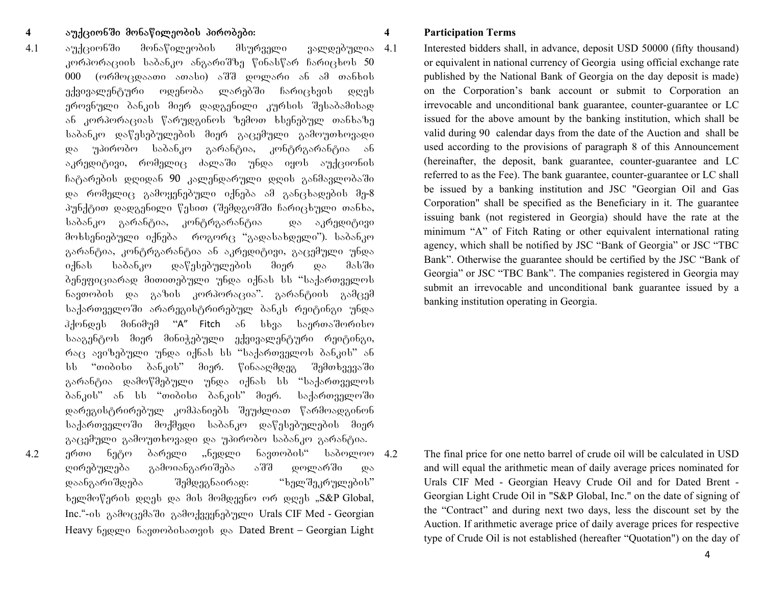### 4<sub>a</sub>pu<sub>3</sub>130 Manawileo <del>Jupita Purobes Purobes pirobes pirobes p</del>

4.1 აუქციონში მონაწილეობის მსურველი ვალდებულია 4.1 კორპორაციის საბანკო ანგარიშზე წინასწარ ჩარიცხოს 50 000 (ორმოცდაათი ათასი) აშშ დოლარი ან ამ თანხის ექვივალენტური ოდენობა ლარებში ჩარიცხვის დღეს ეროვნული ბანკის მიერ დადგენილი კურსის შესაბამისად  $\delta$ ან კორპორაციას წარუდგინოს ზემოთ ხსენებულ თანხაზე საბანკო დაწესებულების მიერ გაცემული გამოუთხოვადი და უპირობო საბანკო გარანტია, კონტრგარანტია ან აკრედიტივი, რომელიც ძალაში უნდა იყოს აუქციონის  $6$ გტარების დღიდან 90 კალენდარული დღის განმავლობაში და რომელიც გამოყენებული იქნება ამ განცხადების მე-8 პუნქტით დადგენილი წესით (შემდგომში ჩარიცხული თანხა, საბანკო გარანტია, კონტრგარანტია — და აკრედიტივი მოხსენიებული იქნება როგორც "გადასახდელი"). საბანკო გარანტია, კონტრგარანტია ან აკრედიტივი, გაცემული უნდა იქნას საბანკო დაწესებულების მიერ და მასში ბენეფიციარად მითითებული უნდა იქნას სს "საქართველოს ნავთობის და გაზის კორპორაცია". გარანტიის გამცემ საქართველოში არარეგისტრირებულ ბანკს რეიტინგი უნდა  $\partial \vec{a}$ სააგენტოს მიერ მინიჭებული ექვივალენტური რეიტინგი,  $\epsilon$  630 m/s approx of  $\epsilon$  induced by  $\epsilon$  in the independent bank in the same of  $\epsilon$ სს "თიბისი ბანკის" მიერ. წინააღმდეგ შემთხვევაში გარანტია დამოწმებული უნდა იქნას სს "საქართველოს ბანკის" ან სს "თიბისი ბანკის" მიერ. საქართველოში დარეგისტრირებულ კომპანიებს შეუძლიათ წარმოადგინონ საქართველოში მოქმედი საბანკო დაწესებულების მიერ გაცემული გამოუთხოვადი და უპირობო საბანკო გარანტია.  $4.2$  gრთი ნეტო ბარელი "ნედლი ნავთობის" საბოლოო 4.2 ღირებულება გამოიანგარიშება აშშ დოლარში და დაანგარიშდება შემდეგნაირად: "ხელშეკრულების"  $\alpha$ <sub>b</sub>endo $\beta$ agob weral wa dob dodwaabo og word ... S&P Global, Inc."-ob გამოცემაში გამოქვეყნებული Urals CIF Med - Georgian

Heavy 630gmo 68300000880300 go Dated Brent – Georgian Light

#### **4 Participation Terms**

Interested bidders shall, in advance, deposit USD 50000 (fifty thousand) or equivalent in national currency of Georgia using official exchange rate published by the National Bank of Georgia on the day deposit is made) on the Corporation's bank account or submit to Corporation an irrevocable and unconditional bank guarantee, counter-guarantee or LC issued for the above amount by the banking institution, which shall be valid during 90 calendar days from the date of the Auction and shall be used according to the provisions of paragraph 8 of this Announcement (hereinafter, the deposit, bank guarantee, counter-guarantee and LC referred to as the Fee). The bank guarantee, counter-guarantee or LC shall be issued by a banking institution and JSC "Georgian Oil and Gas Corporation" shall be specified as the Beneficiary in it. The guarantee issuing bank (not registered in Georgia) should have the rate at the minimum "A" of Fitch Rating or other equivalent international rating agency, which shall be notified by JSC "Bank of Georgia" or JSC "TBC Bank". Otherwise the guarantee should be certified by the JSC "Bank of Georgia" or JSC "TBC Bank". The companies registered in Georgia may submit an irrevocable and unconditional bank guarantee issued by a banking institution operating in Georgia.

The final price for one netto barrel of crude oil will be calculated in USD and will equal the arithmetic mean of daily average prices nominated for Urals CIF Med - Georgian Heavy Crude Oil and for Dated Brent - Georgian Light Crude Oil in "S&P Global, Inc." on the date of signing of the "Contract" and during next two days, less the discount set by the Auction. If arithmetic average price of daily average prices for respective type of Crude Oil is not established (hereafter "Quotation") on the day of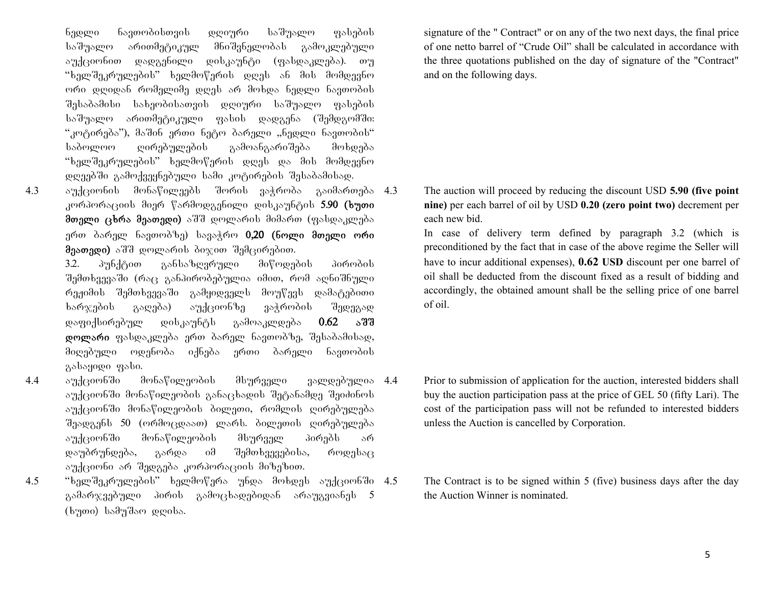ნედლი ნავთობისთვის დღიური საშუალო ფასების საშუალო არითმეტიკულ მნიშვნელობას გამოკლებული აუქციონით დადგენილი დისკაუნტი (ფასდაკლება). თუ "ხელშეკრულების" ხელმოწერის დღეს ან მის მომდევნო ორი დღიდან რომელიმე დღეს არ მოხდა ნედლი ნავთობის შესაბამისი სახეობისათვის დღიური საშუალო ფასების საშუალო არითმეტიკული ფასის დადგენა (შემდგომში:  $\cdot$ კოტირება"), მაშინ ერთი ნეტო ბარელი "ნედლი ნავთობის" საბოლოო ღირებულების გამოანგარიშება მოხდება "ხელშეკრულების" ხელმოწერის დღეს და მის მომდევნო დღეებში გამოქვეყნებული სამი კოტირების შესაბამისად.

 $4.3$  and  $3.3$  automonawile monawile monawile soris variation  $4.3$ კორპორაციის მიერ წარმოდგენილი დისკაუნტის 5.90 (ხუთი მთელი ცხრა მეათედი) აშშ დოლარის მიმართ (ფასდაკლება ერთ ბარელ ნავთობზე) სავაჭრო 0,20 (ნოლი მთელი ორი  $\theta$ ეათედი) აშშ დოლარის ბიჯით შემცირებით.

> $3.2.$   $\delta$ უნქტით განსაზღვრული მიწოდების პირობის შემთხვევაში (რაც განპირობებულია იმით, რომ აღნიშნული რეჟიმის შემთხვევაში გამყიდველს მოუწევს დამატებითი ხარჯების გაღება) აუქციონზე ვაჭრობის შედეგად დაფიქსირებულ დისკაუნტს გამოაკლდება  $0.62$  აშშ დოლარი ფასდაკლება ერთ ბარელ ნავთობზე, შესაბამისად, მიღებული ოდენობა იქნება ერთი ბარელი ნავთობის გასაყიდი ფასი.

- 4.4 აუქციონში მონაწილეობის მსურველი ვალდებულია 4.4 აუქციონში მონაწილეობის განაცხადის შეტანამდე შეიძინოს აუქციონში მონაწილეობის ბილეთი, რომლის ღირებულება  $\theta$ ეადგენს 50 (ორმოცდაათ) ლარს. ბილეთის ღირებულება აუქციონში მონაწილეობის მსურველ პირებს არ დაუბრუნდება, გარდა იმ შემთხვევებისა, როდესაც აუქციონი არ შედგება კორპორაციის მიზეზით.
- $4.5$  "ხელშეკრულების" ხელმოწერა უნდა მოხდეს აუქციონში  $4.5$ გამარჯვებული პირის გამოცხადებიდან არაუგვიანეს 5  $(b \eta \sigma)$  სამუშაო დღისა.

signature of the " Contract" or on any of the two next days, the final price of one netto barrel of "Crude Oil" shall be calculated in accordance with the three quotations published on the day of signature of the "Contract" and on the following days.

4.3 The auction will proceed by reducing the discount USD **5.90 (five point nine)** per each barrel of oil by USD **0.20 (zero point two)** decrement per each new bid.

In case of delivery term defined by paragraph 3.2 (which is preconditioned by the fact that in case of the above regime the Seller will have to incur additional expenses), **0.62 USD** discount per one barrel of oil shall be deducted from the discount fixed as a result of bidding and accordingly, the obtained amount shall be the selling price of one barrel of oil.

- Prior to submission of application for the auction, interested bidders shall buy the auction participation pass at the price of GEL 50 (fifty Lari). The cost of the participation pass will not be refunded to interested bidders unless the Auction is cancelled by Corporation.
	- The Contract is to be signed within 5 (five) business days after the day the Auction Winner is nominated.

5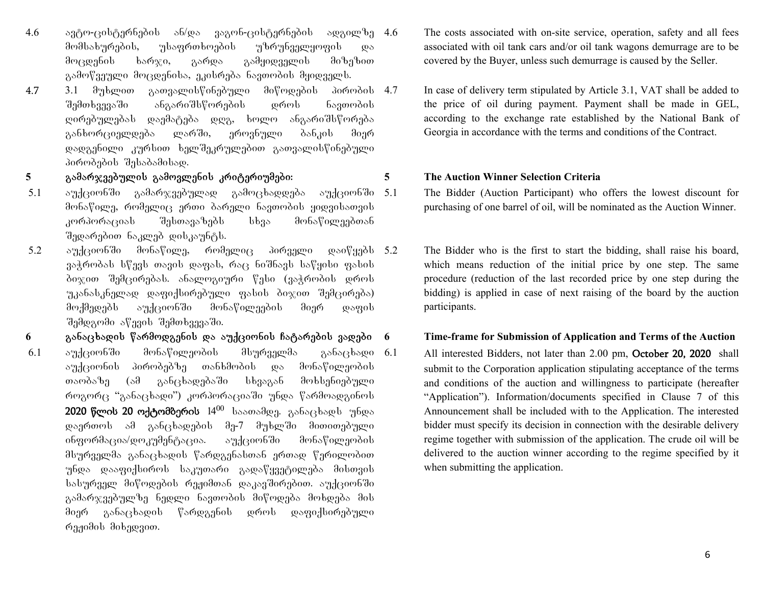- $4.6$  agram-cisternebis and value and value and value and  $4.6$ მომსახურების, უსაფრთხოების უზრუნველყოფის და მოცდენის ხარჯი, გარდა გამყიდველის მიზეზით გამოწვეული მოცდენისა, ეკისრება ნავთობის მყიდველს.
- 4.73.1  $\partial_{\eta}$ ხლით გათვალისწინებული მიწოდების პირობის 4.7 შემთხვევაში ანგარიშსწორების დროს ნავთობის ღირებულებას დაემატება დღგ, ხოლო ანგარიშსწორება განხორციელდება ლარში, ეროვნული ბანკის მიერ დადგენილი კურსით ხელშეკრულებით გათვალისწინებული პირობების შესაბამისად.

## 5<sub>ga</sub> bulang ang panggamarang samang sanggamarita sa sanggalantang samang samang samang sanggang sanggang sanggan<br>Samang sanggang sanggang sanggang sanggang sanggang sanggang sanggang sanggang sanggang sanggang sanggang s

- 5.1 აუქციონში გამარჯვებულად გამოცხადდება აუქციონში მონაწილე, რომელიც ერთი ბარელი ნავთობის ყიდვისათვის კორპორაციას შესთავაზებს სხვა მონაწილეებთან შედარებით ნაკლებ დისკაუნტს.
- $5.2$  აუქციონში მონაწილე, რომელიც პირველი დაიწყებს  $5.2$  $3$ აჭრობას სწევს თავის დაფას, რაც ნიშნავს საწყისი ფასის ბიჯით შემცირებას. ანალოგიური წესი (ვაჭრობის დროს უკანასკნელად დაფიქსირებული ფასის ბიჯით შემცირება) მოქმედებს აუქციონში მონაწილეების მიერ დაფის შემდგომი აწევის შემთხვევაში.
- **<sup>6</sup>**ganacxadis warmodgenis da auqcionis Catarebis vadebi
- აუქციონში  $6.1$  აუქციონში მონაწილეობის მსურველმა განაცხადი  $6.1$ აუქციონის პირობებზე თანხმობის და მონაწილეობის თაობაზე (ამ განცხადებაში სხვაგან მოხსენიებული როგორც "განაცხადი") კორპორაციაში უნდა წარმოადგინოს 2020 წლის 20 ოქტომბერის  $14^{00}$  საათამდე. განაცხადს უნდა დაერთოს ამ განცხადების მე-7 მუხლში მითითებული ინფორმაცია/დოკუმენტაცია. აუქციონში მონაწილეობის მსურველმა განაცხადის წარდგენასთან ერთად წერილობით უნდა დააფიქსიროს საკუთარი გადაწყვეტილება მისთვის სასურველ მიწოდების რეჟიმთან დაკავშირებით. აუქციონში გამარჯვებულზე ნედლი ნავთობის მიწოდება მოხდება მის მიერ განაცხადის წარდგენის დროს დაფიქსირებული რეჟიმის მიხედვით.
- The costs associated with on-site service, operation, safety and all fees associated with oil tank cars and/or oil tank wagons demurrage are to be covered by the Buyer, unless such demurrage is caused by the Seller.
- In case of delivery term stipulated by Article 3.1, VAT shall be added to the price of oil during payment. Payment shall be made in GEL, according to the exchange rate established by the National Bank of Georgia in accordance with the terms and conditions of the Contract.

#### **5 The Auction Winner Selection Criteria**

The Bidder (Auction Participant) who offers the lowest discount for purchasing of one barrel of oil, will be nominated as the Auction Winner.

The Bidder who is the first to start the bidding, shall raise his board, which means reduction of the initial price by one step. The same procedure (reduction of the last recorded price by one step during the bidding) is applied in case of next raising of the board by the auction participants.

## **6 Time-frame for Submission of Application and Terms of the Auction**

All interested Bidders, not later than 2.00 pm, October 20, 2020 shall submit to the Corporation application stipulating acceptance of the terms and conditions of the auction and willingness to participate (hereafter "Application"). Information/documents specified in Clause 7 of this Announcement shall be included with to the Application. The interested bidder must specify its decision in connection with the desirable delivery regime together with submission of the application. The crude oil will be delivered to the auction winner according to the regime specified by it when submitting the application.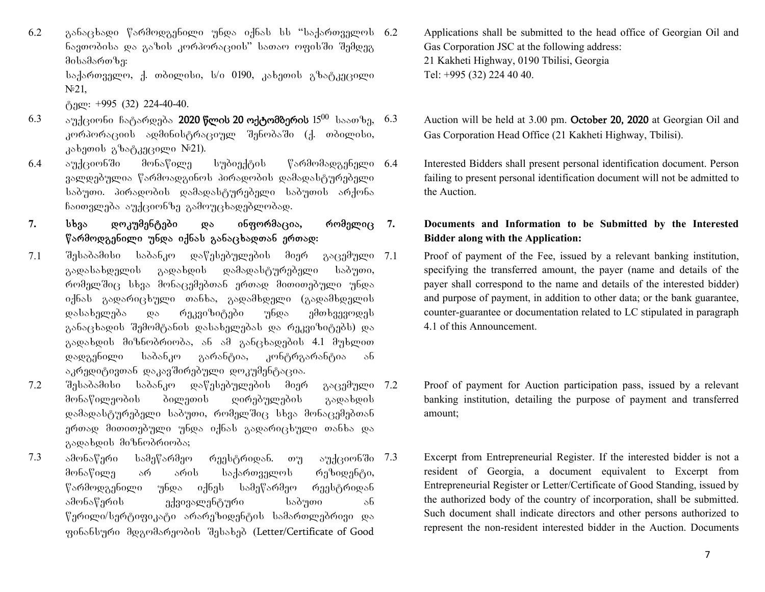$6.2$  ganacaba გარმოდგენილი უნდა იქნას სს "საქართველოს  $6.2$ ნავთობისა და გაზის კორპორაციის" სათაო ოფისში შემდეგ  $a_0$ 

საქართველო, ქ. თბილისი, ს/ი 0190, კახეთის გზატკეცილი  $N<sup>0</sup>21$ ,

 $\beta$ ago: +995 (32) 224-40-40.

- $6.3$  augramine Catardeba 2020 წლის 20 ოქტომბერის  $15^{00}$  საათზე,  $6.3$ კორპორაციის ადმინისტრაციულ შენობაში (ქ. თბილისი,  $k$ a $\delta$ amo $\delta$  a $\delta$ a $\delta$ a $\delta$ a $\delta$ aregeo  $\delta$ <sup>21).</sup>
- $6.4$  აუქციონში მონაწილე სუბიექტის წარმომადგენელი 6.4 ვალდებულია წარმოადგინოს პირადობის დამადასტურებელი საბუთი. პირადობის დამადასტურებელი საბუთის არქონა ჩაითვლება აუქციონზე გამოუცხადებლობად.
- 7. სხვა დოკუმენტები და ინფორმაცია, რომელიც  $\nabla$ არმოდგენილი უნდა იქნას განაცხადთან ერთად:
- 7.1 შესაბამისი საბანკო დაწესებულების მიერ გაცემული 7.1 გადასახდელის გადახდის დამადასტურებელი საბუთი, რომელშიც სხვა მონაცემებთან ერთად მითითებული უნდა  $\alpha$ ქნას გადარიცხული თანხა, გადამხდელი (გადამხდელის დასახელება და რეკვიზიტები უნდა ემთხვევოდეს განაცხადის შემომტანის დასახელებას და რეკვიზიტებს) და გადახდის მიზნობრიობა, ან ამ განცხადების 4.1 მუხლით დადგენილი საბანკო გარანტია, კონტრგარანტია ან აკრედიტივთან დაკავშირებული დოკუმენტაცია.
- $7.2$  შესაბამისი საბანკო დაწესებულების მიერ გაცემული 7.2 მონაწილეობის ბილეთის ღირებულების გადახდის დამადასტურებელი საბუთი, რომელშიც სხვა მონაცემებთან ერთად მითითებული უნდა იქნას გადარიცხული თანხა და გადახდის მიზნობრიობა;
- $7.3$  ამონაწერი სამეწარმეო რეესტრიდან. თუ აუქციონში  $7.3$ მონაწილე არ არის საქართველოს რეზიდენტი, წარმოდგენილი უნდა იქნეს სამეწარმეო რეესტრიდან ამონაწერის გქვივალენტური საბუთი ან წერილი/სერტიფიკატი არარეზიდენტის სამართლებრივი და gobsbbygo dozodsogodob dabsbad (Letter/Certificate of Good
- Applications shall be submitted to the head office of Georgian Oil and Gas Corporation JSC at the following address: 21 Kakheti Highway, 0190 Tbilisi, Georgia Tel: +995 (32) 224 40 40.
- Auction will be held at 3.00 pm. October 20, 2020 at Georgian Oil and Gas Corporation Head Office (21 Kakheti Highway, Tbilisi).
- 6.4 Interested Bidders shall present personal identification document. Person failing to present personal identification document will not be admitted to the Auction.

## **7. Documents and Information to be Submitted by the Interested Bidder along with the Application:**

- Proof of payment of the Fee, issued by a relevant banking institution, specifying the transferred amount, the payer (name and details of the payer shall correspond to the name and details of the interested bidder) and purpose of payment, in addition to other data; or the bank guarantee, counter-guarantee or documentation related to LC stipulated in paragraph 4.1 of this Announcement.
- Proof of payment for Auction participation pass, issued by a relevant banking institution, detailing the purpose of payment and transferred amount;
- Excerpt from Entrepreneurial Register. If the interested bidder is not a resident of Georgia, a document equivalent to Excerpt from Entrepreneurial Register or Letter/Certificate of Good Standing, issued by the authorized body of the country of incorporation, shall be submitted. Such document shall indicate directors and other persons authorized to represent the non-resident interested bidder in the Auction. Documents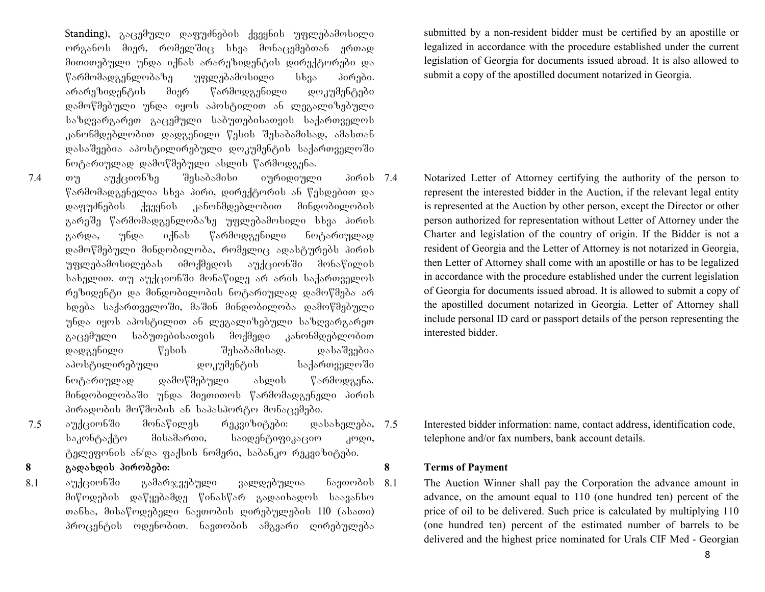Standing),  $\frac{1}{2}$ აცემული დაფუძნების ქვეყნის უფლებამოსილი ორგანოს მიერ, რომელშიც სხვა მონაცემებთან ერთად მითითებული უნდა იქნას არარეზიდენტის დირექტორები და წარმომადგენლობაზე უფლებამოსილი სხვა პირები. არარეზიდენტის მიერ წარმოდგენილი დოკუმენტები დამოწმებული უნდა იყოს აპოსტილით ან ლეგალიზებული საზღვარგარეთ გაცემული საბუთებისათვის საქართველოს კანონმდებლობით დადგენილი წესის შესაბამისად, ამასთან დასაშვებია აპოსტილირებული დოკუმენტის საქართველოში ნოტარიულად დამოწმებული ასლის წარმოდგენა.

- $7.4$  თუ აუქციონზე შესაბამისი იურიდიული პირის $7.4$  $\%$ არმომადგენელია სხვა პირი, დირექტორის ან წესდებით და დაფუძნების ქვეყნის კანონმდებლობით მინდობილობის გარეშე წარმომადგენლობაზე უფლებამოსილი სხვა პირის გარდა, უნდა იქნას წარმოდგენილი ნოტარიულად დამოწმებული მინდობილობა, რომელიც ადასტურებს პირის უფლებამოსილებას იმოქმედოს აუქციონში მონაწილის სახელით. თუ აუქციონში მონაწილე არ არის საქართველოს რეზიდენტი და მინდობილობის ნოტარიულად დამოწმება არ ხდება საქართველოში, მაშინ მინდობილობა დამოწმებული უნდა იყოს აპოსტილით ან ლეგალიზებული საზღვარგარეთ გაცემული საბუთებისათვის მოქმედი კანონმდებლობით დადგენილი წესის შესაბამისად. დასაშვებია აპოსტილირებული დოკუმენტის საქართველოში ნოტარიულად დამოწმებული ასლის წარმოდგენა. მინდობილობაში უნდა მიეთითოს წარმომადგენელი პირის პირადობის მოწმობის ან საპასპორტო მონაცემები.
- $7.5$  აუქციონში მონაწილეს რეკვიზიტები: დასახელება, 7.5 საკონტაქტო მისამართი, საიდენტიფიკაციო კოდი, ტელეფონის ან/და ფაქსის ნომერი, საბანკო რეკვიზიტები.
- 

## 8<sub>a</sub>gada **8**gada 806.9396.

აუქციონში 8.1 აუქციონში გამარჯვებული ვალდებულია ნავთობის $8.1$ მიწოდების დაწყებამდე წინასწარ გადაიხადოს საავანსო თანხა, მისაწოდებელი ნავთობის ღირებულების 110 (ასათი) პროცენტის ოდენობით. ნავთობის ამგვარი ღირებულება

submitted by a non-resident bidder must be certified by an apostille or legalized in accordance with the procedure established under the current legislation of Georgia for documents issued abroad. It is also allowed to submit a copy of the apostilled document notarized in Georgia.

7.4 Notarized Letter of Attorney certifying the authority of the person to represent the interested bidder in the Auction, if the relevant legal entity is represented at the Auction by other person, except the Director or other person authorized for representation without Letter of Attorney under the Charter and legislation of the country of origin. If the Bidder is not a resident of Georgia and the Letter of Attorney is not notarized in Georgia, then Letter of Attorney shall come with an apostille or has to be legalized in accordance with the procedure established under the current legislation of Georgia for documents issued abroad. It is allowed to submit a copy of the apostilled document notarized in Georgia. Letter of Attorney shall include personal ID card or passport details of the person representing the interested bidder.

Interested bidder information: name, contact address, identification code, telephone and/or fax numbers, bank account details.

### **8 Terms of Payment**

The Auction Winner shall pay the Corporation the advance amount in advance, on the amount equal to 110 (one hundred ten) percent of the price of oil to be delivered. Such price is calculated by multiplying 110 (one hundred ten) percent of the estimated number of barrels to be delivered and the highest price nominated for Urals CIF Med - Georgian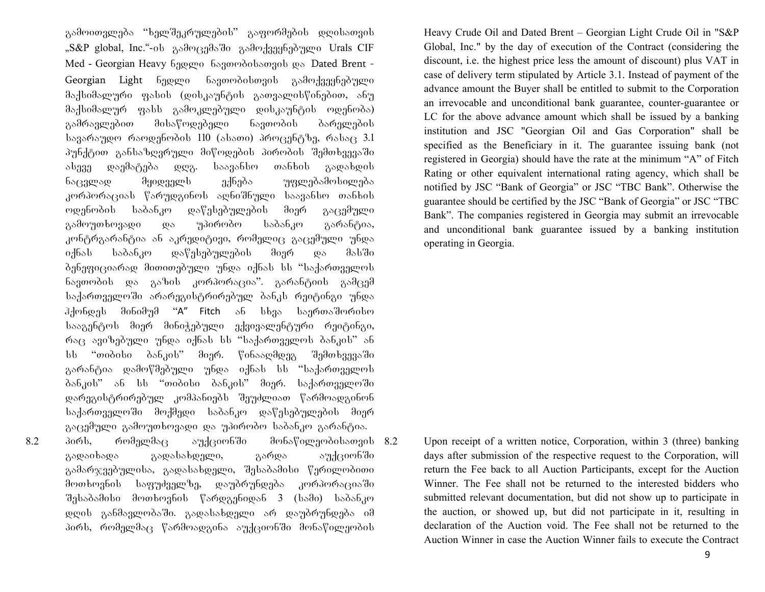გამოითვლება "ხელშეკრულების" გაფორმების დღისათვის "S&P global, Inc."-ის გამოცემაში გამოქვეყნებული Urals CIF Med - Georgian Heavy 63000 63300030bson30b os Dated Brent -Georgian Light 6ედლი ნავთობისთვის გამოქვეყნებული  $\partial \delta$ კ $\beta$ სიმალური ფასის (დისკაუნტის გათვალისწინებით, ანუ მაქსიმალურ ფასს გამოკლებული დისკაუნტის ოდენობა) გამრავლებით მისაწოდებელი ნავთობის ბარელების  $\frac{1}{3}$  სავარაუდო რაოდენობის 110 (ასათი) პროცენტზე, რასაც 3.1 პუნქტით განსაზღვრული მიწოდების პირობის შემთხვევაში algaa waadagada wwa. laaas6loo oos6bol gawabwol ნაცვლად მყიდველს ექნება უფლებამოსილება კორპორაციას წარუდგინოს აღნიშნული საავანსო თანხის ოდენობის საბანკო დაწესებულების მიერ გაცემული გამოუთხოვადი და უპირობო საბანკო გარანტია, კონტრგარანტია ან აკრედიტივი, რომელიც გაცემული უნდა იქნას საბანკო დაწესებულების მიერ და მასში ბენეფიციარად მითითებული უნდა იქნას სს "საქართველოს ნავთობის და გაზის კორპორაცია". გარანტიის გამცემ საქართველოში არარეგისტრირებულ ბანკს რეიტინგი უნდა  $\partial \partial \phi$ ერდეს მინიმუმ "A" Fitch ან სხვა საერთაშორისო სააგენტოს მიერ მინიჭებული ექვივალენტური რეიტინგი,  $\sigma$ <sub>633</sub> average the postupied in the state independence of  $\sigma$ სს "თიბისი ბანკის" მიერ. წინააღმდეგ შემთხვევაში გარანტია დამოწმებული უნდა იქნას სს "საქართველოს ბანკის" ან სს "თიბისი ბანკის" მიერ. საქართველოში დარეგისტრირებულ კომპანიებს შეუძლიათ წარმოადგინონ საქართველოში მოქმედი საბანკო დაწესებულების მიერ გაცემული გამოუთხოვადი და უპირობო საბანკო გარანტია. 8.2 პირს, რომელმაც აუქციონში მონაწილეობისათვის 8.2 გადაიხადა გადასახდელი, გარდა აუქციონში გამარჯვებულისა, გადასახდელი, შესაბამისი წერილობითი მოთხოვნის საფუძველზე, დაუბრუნდება კორპორაციაში  $\partial_{\Omega}$ საბამისი მოთხოვნის წარდგენიდან 3 (სამი) საბანკო დღის განმავლობაში. გადასახდელი არ დაუბრუნდება იმ

პირს, რომელმაც წარმოადგინა აუქციონში მონაწილეობის

Heavy Crude Oil and Dated Brent – Georgian Light Crude Oil in "S&P Global, Inc." by the day of execution of the Contract (considering the discount, i.e. the highest price less the amount of discount) plus VAT in case of delivery term stipulated by Article 3.1. Instead of payment of the advance amount the Buyer shall be entitled to submit to the Corporation an irrevocable and unconditional bank guarantee, counter-guarantee or LC for the above advance amount which shall be issued by a banking institution and JSC "Georgian Oil and Gas Corporation" shall be specified as the Beneficiary in it. The guarantee issuing bank (not registered in Georgia) should have the rate at the minimum "A" of Fitch Rating or other equivalent international rating agency, which shall be notified by JSC "Bank of Georgia" or JSC "TBC Bank". Otherwise the guarantee should be certified by the JSC "Bank of Georgia" or JSC "TBC Bank". The companies registered in Georgia may submit an irrevocable and unconditional bank guarantee issued by a banking institution operating in Georgia.

Upon receipt of a written notice, Corporation, within 3 (three) banking days after submission of the respective request to the Corporation, will return the Fee back to all Auction Participants, except for the Auction Winner. The Fee shall not be returned to the interested bidders who submitted relevant documentation, but did not show up to participate in the auction, or showed up, but did not participate in it, resulting in declaration of the Auction void. The Fee shall not be returned to the Auction Winner in case the Auction Winner fails to execute the Contract

9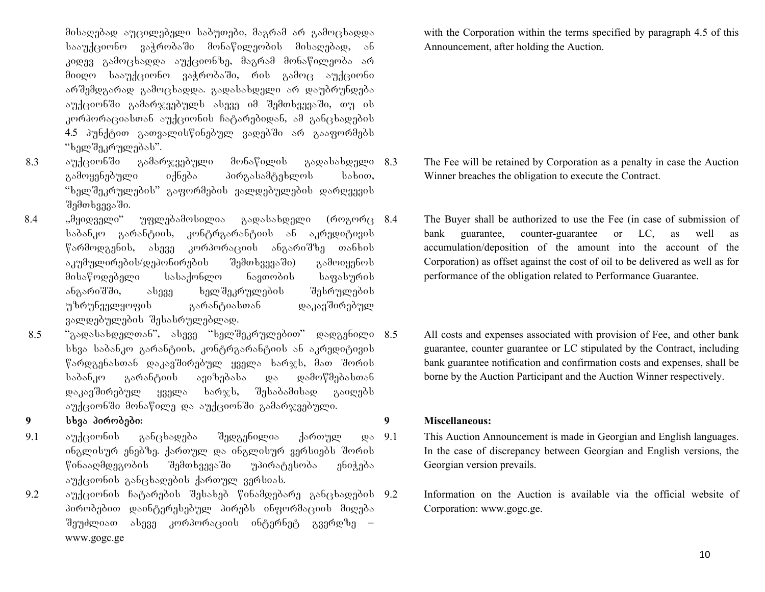მისაღებად აუცილებელი საბუთები, მაგრამ არ გამოცხადდა სააუქციონო ვაჭრობაში მონაწილეობის მისაღებად, ან კიდევ გამოცხადდა აუქციონზე, მაგრამ მონაწილეობა არ შიიღო სააუქციონო ვაჭრობაში, რის გამოც აუქციონი არშემდგარად გამოცხადდა. გადასახდელი არ დაუბრუნდება  $\sigma$ უქციონში გამარჯვებულს ასევე იმ შემთხვევაში, თუ ის კორპორაციასთან აუქციონის ჩატარებიდან, ამ განცხადების 4.5 პუნქტით გათვალისწინებულ ვადებში არ გააფორმებს "ხელშეკრულებას".

- $8.3$  and  $\beta$  and  $\beta$  and  $\gamma$  and  $\gamma$  and  $\gamma$  and  $\gamma$  and  $\gamma$  and  $\gamma$  and  $\gamma$  and  $\gamma$  and  $\gamma$  and  $\gamma$  and  $\gamma$  and  $\gamma$  and  $\gamma$  and  $\gamma$  and  $\gamma$  and  $\gamma$  and  $\gamma$  and  $\gamma$  and  $\gamma$  and  $\gamma$  and  $\gamma$  and  $\gamma$ გამოყენებული იქნება პირგასამტეხლოს სახით, "ხელშეკრულების" გაფორმების ვალდებულების დარღვევის შემთხვევაში.
- $8.4$  ,, $\partial$ ყიდველი" უფლებამოსილია გადასახდელი (როგორც 8.4 საბანკო გარანტიის, კონტრგარანტიის ან აკრედიტივის  $\%$ არმოდგენის, ასევე კორპორაციის ანგარიშზე თანხის  $\delta$ კუმულირების/დეპონირების შემთხვევაში) გამოიყენოს მისაწოდებელი სასაქონლო ნავთობის საფასურის ანგარიშში, ასევე ხელშეკრულების შესრულების უზრუნველყოფის გარანტიასთან დაკავშირებულ ვალდებულების შესასრულებლად.
- 8.5 "გადასახდელთან", ასევე "ხელშეკრულებით" დადგენილი 8.5 სხვა საბანკო გარანტიის, კონტრგარანტიის ან აკრედიტივის  $\%$ არდგენასთან დაკავშირებულ ყველა ხარჯს, მათ შორის საბანკო გარანტიის ავიზებასა და დამოწმებასთან დაკავშირებულ ყველა ხარჯს, შესაბამისად გაიღებს აუქციონში მონაწილე და აუქციონში გამარჯვებული.

## **9** sxva pirobebi: **9 Miscellaneous:**

- 9.1 აუქციონის განცხადება შედგენილია ქართულ და ინგლისურ ენებზე. ქართულ და ინგლისურ ვერსიებს შორის წინააღმდეგობის შემთხვევაში უპირატესობა ენიჭება  $\sigma$ ades banda gancadebis dan demographis ang samalangan versions and versions and versions and versions and versions and versions and versions and versions and versions and versions and versions and versions and versions
- 9.2 aუქციონის ჩატარების შესახებ წინამდებარე განცხადების 9.2 პირობებით დაინტერესებულ პირებს ინფორმაციის მიღება შეუძლიათ ასევე კორპორაციის ინტერნეტ გვერდზე – www.gogc.ge

with the Corporation within the terms specified by paragraph 4.5 of this Announcement, after holding the Auction.

- The Fee will be retained by Corporation as a penalty in case the Auction Winner breaches the obligation to execute the Contract.
- The Buyer shall be authorized to use the Fee (in case of submission of bank guarantee, counter-guarantee or LC, as well as accumulation/deposition of the amount into the account of the Corporation) as offset against the cost of oil to be delivered as well as for performance of the obligation related to Performance Guarantee.
- All costs and expenses associated with provision of Fee, and other bank guarantee, counter guarantee or LC stipulated by the Contract, including bank guarantee notification and confirmation costs and expenses, shall be borne by the Auction Participant and the Auction Winner respectively.

- 9.1 This Auction Announcement is made in Georgian and English languages. In the case of discrepancy between Georgian and English versions, the Georgian version prevails.
- 9.2 Information on the Auction is available via the official website of Corporation: www.gogc.ge.